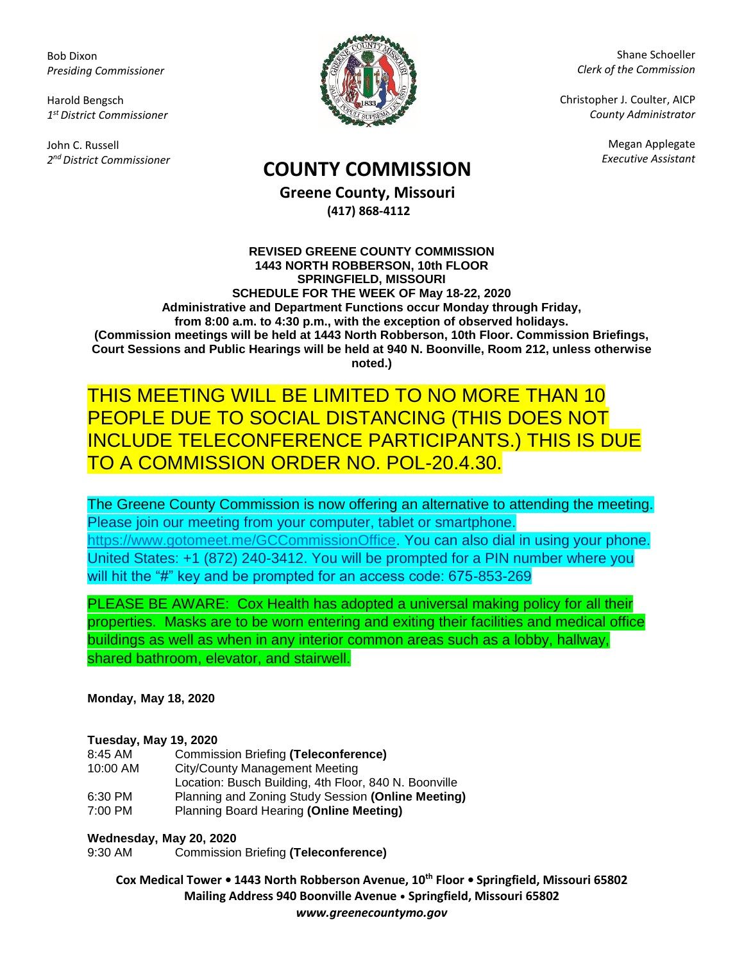Bob Dixon *Presiding Commissioner*

Harold Bengsch *1 st District Commissioner*

John C. Russell *2 nd District Commissioner*



Shane Schoeller *Clerk of the Commission*

Christopher J. Coulter, AICP *County Administrator*

Megan Applegate

# *Executive Assistant* **COUNTY COMMISSION**

**Greene County, Missouri (417) 868-4112**

#### **REVISED GREENE COUNTY COMMISSION 1443 NORTH ROBBERSON, 10th FLOOR SPRINGFIELD, MISSOURI SCHEDULE FOR THE WEEK OF May 18-22, 2020 Administrative and Department Functions occur Monday through Friday, from 8:00 a.m. to 4:30 p.m., with the exception of observed holidays. (Commission meetings will be held at 1443 North Robberson, 10th Floor. Commission Briefings, Court Sessions and Public Hearings will be held at 940 N. Boonville, Room 212, unless otherwise noted.)**

### THIS MEETING WILL BE LIMITED TO NO MORE THAN 10 PEOPLE DUE TO SOCIAL DISTANCING (THIS DOES NOT INCLUDE TELECONFERENCE PARTICIPANTS.) THIS IS DUE TO A COMMISSION ORDER NO. POL-20.4.30.

The Greene County Commission is now offering an alternative to attending the meeting. Please join our meeting from your computer, tablet or smartphone. [https://www.gotomeet.me/GCCommissionOffice.](https://www.gotomeet.me/GCCommissionOffice) You can also dial in using your phone. United States: +1 (872) 240-3412. You will be prompted for a PIN number where you will hit the "#" key and be prompted for an access code: 675-853-269

PLEASE BE AWARE: Cox Health has adopted a universal making policy for all their properties. Masks are to be worn entering and exiting their facilities and medical office buildings as well as when in any interior common areas such as a lobby, hallway, shared bathroom, elevator, and stairwell.

**Monday, May 18, 2020**

#### **Tuesday, May 19, 2020**

| 8:45 AM  | Commission Briefing (Teleconference)                  |
|----------|-------------------------------------------------------|
| 10:00 AM | City/County Management Meeting                        |
|          | Location: Busch Building, 4th Floor, 840 N. Boonville |
| 6:30 PM  | Planning and Zoning Study Session (Online Meeting)    |
| 7:00 PM  | Planning Board Hearing (Online Meeting)               |

#### **Wednesday, May 20, 2020**

9:30 AM Commission Briefing **(Teleconference)**

**Cox Medical Tower • 1443 North Robberson Avenue, 10th Floor • Springfield, Missouri 65802 Mailing Address 940 Boonville Avenue • Springfield, Missouri 65802** *www.greenecountymo.gov*